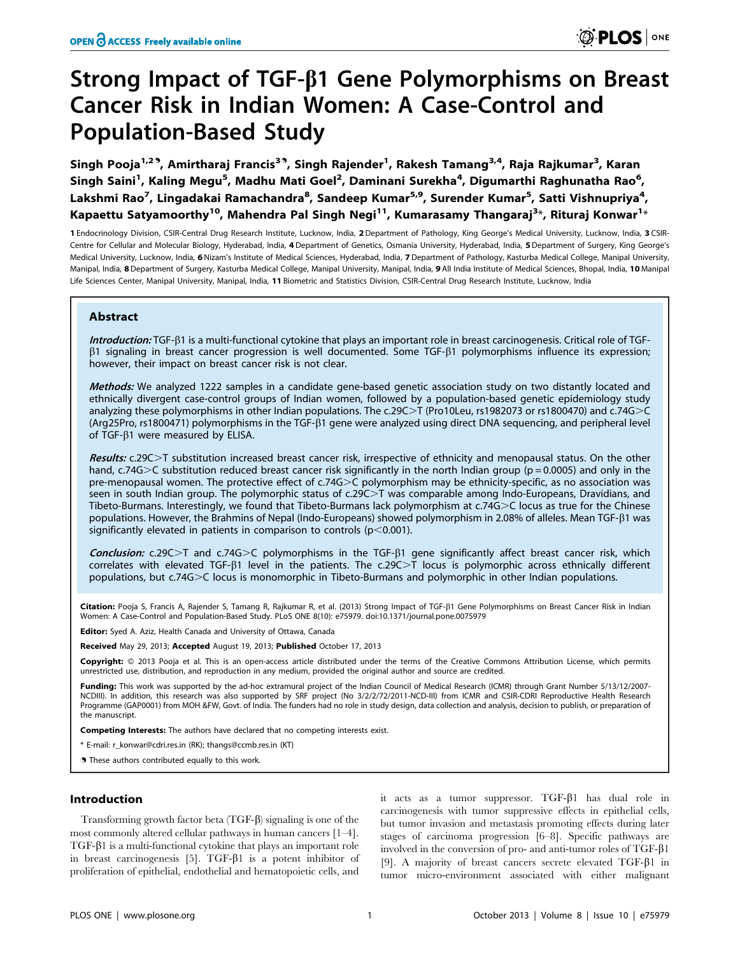# Strong Impact of TGF- $\beta$ 1 Gene Polymorphisms on Breast Cancer Risk in Indian Women: A Case-Control and Population-Based Study

Singh Pooja<sup>1,29</sup>, Amirtharaj Francis<sup>39</sup>, Singh Rajender<sup>1</sup>, Rakesh Tamang<sup>3,4</sup>, Raja Rajkumar<sup>3</sup>, Karan Singh Saini<sup>1</sup>, Kaling Megu<sup>5</sup>, Madhu Mati Goel<sup>2</sup>, Daminani Surekha<sup>4</sup>, Digumarthi Raghunatha Rao<sup>6</sup>, Lakshmi Rao<sup>7</sup>, Lingadakai Ramachandra<sup>8</sup>, Sandeep Kumar<sup>5,9</sup>, Surender Kumar<sup>5</sup>, Satti Vishnupriya<sup>4</sup>, Kapaettu Satyamoorthy $^{10}$ , Mahendra Pal Singh Negi $^{11}$ , Kumarasamy Thangaraj $^{3\ast}$ , Rituraj Konwar $^{1\ast}$ 

1 Endocrinology Division, CSIR-Central Drug Research Institute, Lucknow, India, 2 Department of Pathology, King George's Medical University, Lucknow, India, 3 CSIR-Centre for Cellular and Molecular Biology, Hyderabad, India, 4 Department of Genetics, Osmania University, Hyderabad, India, 5 Department of Surgery, King George's Medical University, Lucknow, India, 6Nizam's Institute of Medical Sciences, Hyderabad, India, 7Department of Pathology, Kasturba Medical College, Manipal University, Manipal, India, 8 Department of Surgery, Kasturba Medical College, Manipal University, Manipal, India, 9 All India Institute of Medical Sciences, Bhopal, India, 10 Manipal Life Sciences Center, Manipal University, Manipal, India, 11 Biometric and Statistics Division, CSIR-Central Drug Research Institute, Lucknow, India

# Abstract

**Introduction:** TGF- $\beta$ 1 is a multi-functional cytokine that plays an important role in breast carcinogenesis. Critical role of TGF- $\beta$ 1 signaling in breast cancer progression is well documented. Some TGF- $\beta$ 1 polymorphisms influence its expression; however, their impact on breast cancer risk is not clear.

Methods: We analyzed 1222 samples in a candidate gene-based genetic association study on two distantly located and ethnically divergent case-control groups of Indian women, followed by a population-based genetic epidemiology study analyzing these polymorphisms in other Indian populations. The c.29C>T (Pro10Leu, rs1982073 or rs1800470) and c.74G>C (Arg25Pro, rs1800471) polymorphisms in the TGF-b1 gene were analyzed using direct DNA sequencing, and peripheral level of TGF- $\beta$ 1 were measured by ELISA.

Results: c.29C>T substitution increased breast cancer risk, irrespective of ethnicity and menopausal status. On the other hand, c.74G $>C$  substitution reduced breast cancer risk significantly in the north Indian group (p = 0.0005) and only in the pre-menopausal women. The protective effect of c.74G>C polymorphism may be ethnicity-specific, as no association was seen in south Indian group. The polymorphic status of c.29C>T was comparable among Indo-Europeans, Dravidians, and Tibeto-Burmans. Interestingly, we found that Tibeto-Burmans lack polymorphism at c.74G>C locus as true for the Chinese populations. However, the Brahmins of Nepal (Indo-Europeans) showed polymorphism in 2.08% of alleles. Mean TGF-β1 was significantly elevated in patients in comparison to controls ( $p$ <0.001).

Conclusion: c.29C $>$ T and c.74G $>$ C polymorphisms in the TGF- $\beta$ 1 gene significantly affect breast cancer risk, which correlates with elevated TGF- $\beta$ 1 level in the patients. The c.29C $>$ T locus is polymorphic across ethnically different populations, but c.74G > C locus is monomorphic in Tibeto-Burmans and polymorphic in other Indian populations.

Citation: Pooja S, Francis A, Rajender S, Tamang R, Rajkumar R, et al. (2013) Strong Impact of TGF-ß1 Gene Polymorphisms on Breast Cancer Risk in Indian Women: A Case-Control and Population-Based Study. PLoS ONE 8(10): e75979. doi:10.1371/journal.pone.0075979

Editor: Syed A. Aziz, Health Canada and University of Ottawa, Canada

Received May 29, 2013; Accepted August 19, 2013; Published October 17, 2013

Copyright: @ 2013 Pooja et al. This is an open-access article distributed under the terms of the Creative Commons Attribution License, which permits unrestricted use, distribution, and reproduction in any medium, provided the original author and source are credited.

Funding: This work was supported by the ad-hoc extramural project of the Indian Council of Medical Research (ICMR) through Grant Number 5/13/12/2007-NCDIII). In addition, this research was also supported by SRF project (No 3/2/2/72/2011-NCD-III) from ICMR and CSIR-CDRI Reproductive Health Research Programme (GAP0001) from MOH &FW, Govt. of India. The funders had no role in study design, data collection and analysis, decision to publish, or preparation of the manuscript.

Competing Interests: The authors have declared that no competing interests exist.

\* E-mail: r\_konwar@cdri.res.in (RK); thangs@ccmb.res.in (KT)

. These authors contributed equally to this work.

# Introduction

Transforming growth factor beta  $(TGF- $\beta$ )$  signaling is one of the most commonly altered cellular pathways in human cancers [1–4].  $TGF- $\beta$ 1 is a multi-functional cytokine that plays an important role$ in breast carcinogenesis  $[5]$ . TGF- $\beta$ 1 is a potent inhibitor of proliferation of epithelial, endothelial and hematopoietic cells, and

it acts as a tumor suppressor. TGF-b1 has dual role in carcinogenesis with tumor suppressive effects in epithelial cells, but tumor invasion and metastasis promoting effects during later stages of carcinoma progression [6–8]. Specific pathways are involved in the conversion of pro- and anti-tumor roles of  $TGF-β1$ [9]. A majority of breast cancers secrete elevated TGF- $\beta$ 1 in tumor micro-environment associated with either malignant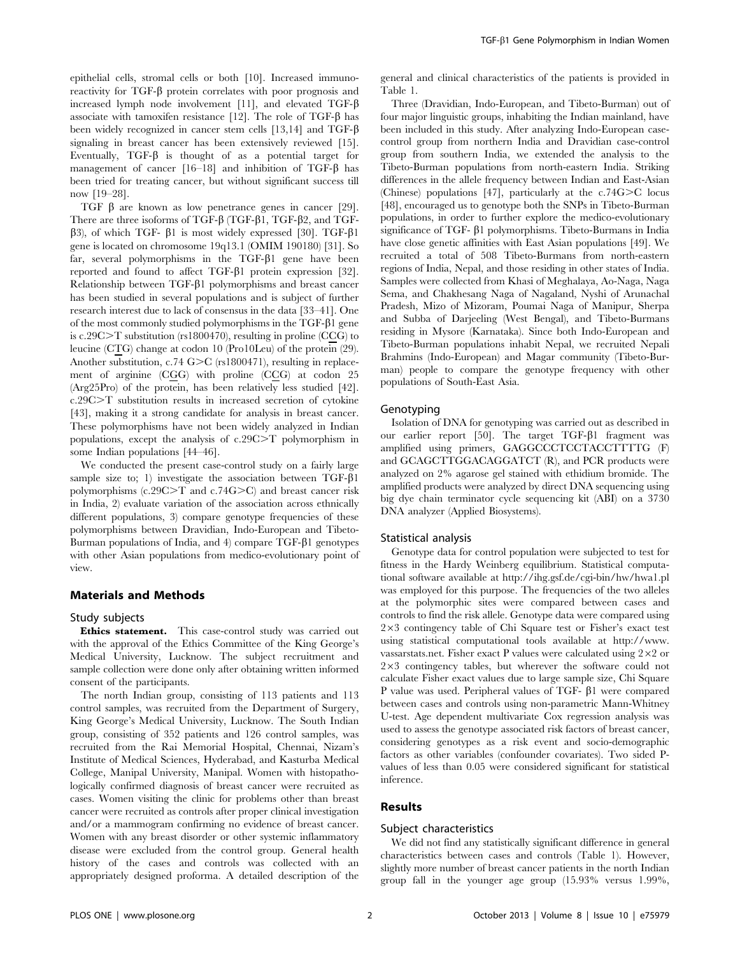epithelial cells, stromal cells or both [10]. Increased immunoreactivity for  $TGF-\beta$  protein correlates with poor prognosis and increased lymph node involvement [11], and elevated TGF-b associate with tamoxifen resistance [12]. The role of TGF- $\beta$  has been widely recognized in cancer stem cells [13,14] and  $TGF-\beta$ signaling in breast cancer has been extensively reviewed [15]. Eventually,  $TGF-\beta$  is thought of as a potential target for management of cancer  $[16-18]$  and inhibition of TGF- $\beta$  has been tried for treating cancer, but without significant success till now [19–28].

TGF b are known as low penetrance genes in cancer [29]. There are three isoforms of TGF-b (TGF-b1, TGF-b2, and TGF- $\beta$ 3), of which TGF- $\beta$ 1 is most widely expressed [30]. TGF- $\beta$ 1 gene is located on chromosome 19q13.1 (OMIM 190180) [31]. So far, several polymorphisms in the  $TGF- $\beta$ 1 gene have been$ reported and found to affect TGF- $\beta$ 1 protein expression [32]. Relationship between  $TGF- $\beta$ 1 polymorphisms and breast cancer$ has been studied in several populations and is subject of further research interest due to lack of consensus in the data [33–41]. One of the most commonly studied polymorphisms in the TGF- $\beta$ 1 gene is c.29 $C>T$  substitution (rs1800470), resulting in proline (CCG) to leucine (CTG) change at codon 10 (Pro10Leu) of the protein (29). Another substitution, c.74 G $\geq$ C (rs1800471), resulting in replacement of arginine (CGG) with proline (CCG) at codon 25 (Arg25Pro) of the protein, has been relatively less studied [42]. c.29C.T substitution results in increased secretion of cytokine [43], making it a strong candidate for analysis in breast cancer. These polymorphisms have not been widely analyzed in Indian populations, except the analysis of  $c.29C>T$  polymorphism in some Indian populations [44–46].

We conducted the present case-control study on a fairly large sample size to; 1) investigate the association between  $TGF- $\beta$ 1$ polymorphisms  $(c.29C>T$  and  $c.74G>C$ ) and breast cancer risk in India, 2) evaluate variation of the association across ethnically different populations, 3) compare genotype frequencies of these polymorphisms between Dravidian, Indo-European and Tibeto-Burman populations of India, and 4) compare TGF-b1 genotypes with other Asian populations from medico-evolutionary point of view.

#### Materials and Methods

#### Study subjects

Ethics statement. This case-control study was carried out with the approval of the Ethics Committee of the King George's Medical University, Lucknow. The subject recruitment and sample collection were done only after obtaining written informed consent of the participants.

The north Indian group, consisting of 113 patients and 113 control samples, was recruited from the Department of Surgery, King George's Medical University, Lucknow. The South Indian group, consisting of 352 patients and 126 control samples, was recruited from the Rai Memorial Hospital, Chennai, Nizam's Institute of Medical Sciences, Hyderabad, and Kasturba Medical College, Manipal University, Manipal. Women with histopathologically confirmed diagnosis of breast cancer were recruited as cases. Women visiting the clinic for problems other than breast cancer were recruited as controls after proper clinical investigation and/or a mammogram confirming no evidence of breast cancer. Women with any breast disorder or other systemic inflammatory disease were excluded from the control group. General health history of the cases and controls was collected with an appropriately designed proforma. A detailed description of the

general and clinical characteristics of the patients is provided in Table 1.

Three (Dravidian, Indo-European, and Tibeto-Burman) out of four major linguistic groups, inhabiting the Indian mainland, have been included in this study. After analyzing Indo-European casecontrol group from northern India and Dravidian case-control group from southern India, we extended the analysis to the Tibeto-Burman populations from north-eastern India. Striking differences in the allele frequency between Indian and East-Asian (Chinese) populations [47], particularly at the  $c.74G > C$  locus [48], encouraged us to genotype both the SNPs in Tibeto-Burman populations, in order to further explore the medico-evolutionary significance of TGF- $\beta$ 1 polymorphisms. Tibeto-Burmans in India have close genetic affinities with East Asian populations [49]. We recruited a total of 508 Tibeto-Burmans from north-eastern regions of India, Nepal, and those residing in other states of India. Samples were collected from Khasi of Meghalaya, Ao-Naga, Naga Sema, and Chakhesang Naga of Nagaland, Nyshi of Arunachal Pradesh, Mizo of Mizoram, Poumai Naga of Manipur, Sherpa and Subba of Darjeeling (West Bengal), and Tibeto-Burmans residing in Mysore (Karnataka). Since both Indo-European and Tibeto-Burman populations inhabit Nepal, we recruited Nepali Brahmins (Indo-European) and Magar community (Tibeto-Burman) people to compare the genotype frequency with other populations of South-East Asia.

#### Genotyping

Isolation of DNA for genotyping was carried out as described in our earlier report [50]. The target TGF- $\beta$ 1 fragment was amplified using primers, GAGGCCCTCCTACCTTTTG (F) and GCAGCTTGGACAGGATCT (R), and PCR products were analyzed on 2% agarose gel stained with ethidium bromide. The amplified products were analyzed by direct DNA sequencing using big dye chain terminator cycle sequencing kit (ABI) on a 3730 DNA analyzer (Applied Biosystems).

#### Statistical analysis

Genotype data for control population were subjected to test for fitness in the Hardy Weinberg equilibrium. Statistical computational software available at http://ihg.gsf.de/cgi-bin/hw/hwa1.pl was employed for this purpose. The frequencies of the two alleles at the polymorphic sites were compared between cases and controls to find the risk allele. Genotype data were compared using  $2\times3$  contingency table of Chi Square test or Fisher's exact test using statistical computational tools available at http://www. vassarstats.net. Fisher exact P values were calculated using  $2\times2$  or  $2\times3$  contingency tables, but wherever the software could not calculate Fisher exact values due to large sample size, Chi Square P value was used. Peripheral values of TGF- $\beta$ 1 were compared between cases and controls using non-parametric Mann-Whitney U-test. Age dependent multivariate Cox regression analysis was used to assess the genotype associated risk factors of breast cancer, considering genotypes as a risk event and socio-demographic factors as other variables (confounder covariates). Two sided Pvalues of less than 0.05 were considered significant for statistical inference.

# Results

#### Subject characteristics

We did not find any statistically significant difference in general characteristics between cases and controls (Table 1). However, slightly more number of breast cancer patients in the north Indian group fall in the younger age group (15.93% versus 1.99%,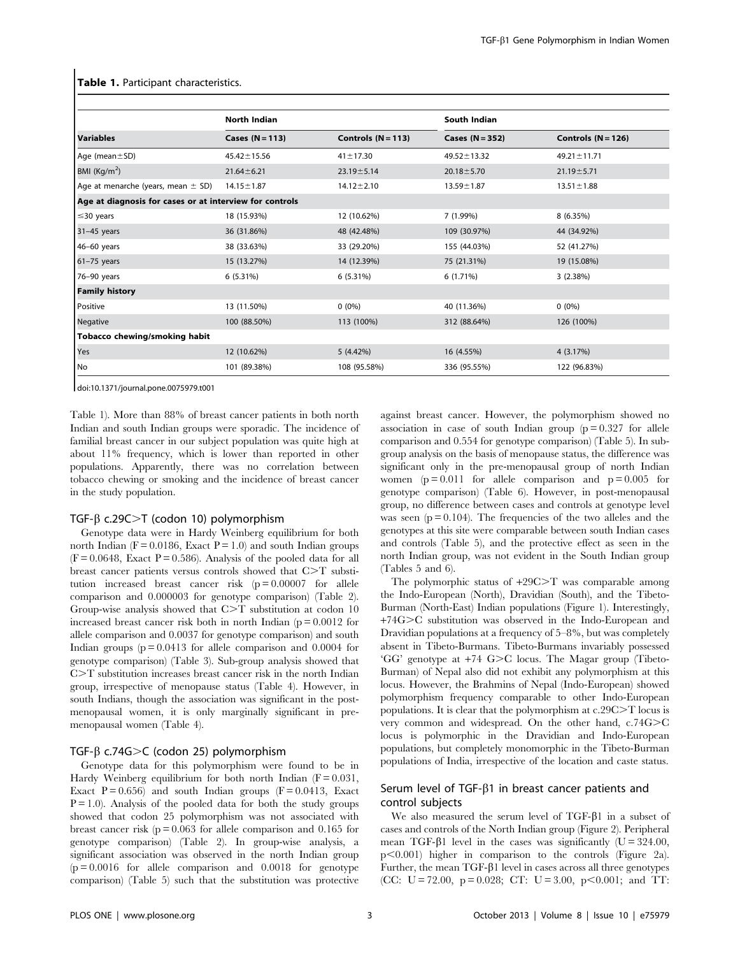|                                                         | North Indian      |                      | South Indian      |                      |
|---------------------------------------------------------|-------------------|----------------------|-------------------|----------------------|
|                                                         |                   |                      |                   |                      |
| <b>Variables</b>                                        | Cases $(N = 113)$ | Controls $(N = 113)$ | Cases $(N = 352)$ | Controls $(N = 126)$ |
| Age (mean $\pm$ SD)                                     | $45.42 \pm 15.56$ | $41 \pm 17.30$       | $49.52 \pm 13.32$ | $49.21 \pm 11.71$    |
| BMI $(Kq/m2)$                                           | $21.64 \pm 6.21$  | $23.19 \pm 5.14$     | $20.18 \pm 5.70$  | $21.19 \pm 5.71$     |
| Age at menarche (years, mean $\pm$ SD)                  | $14.15 \pm 1.87$  | $14.12 \pm 2.10$     | $13.59 \pm 1.87$  | $13.51 \pm 1.88$     |
| Age at diagnosis for cases or at interview for controls |                   |                      |                   |                      |
| $\leq$ 30 years                                         | 18 (15.93%)       | 12 (10.62%)          | 7 (1.99%)         | 8 (6.35%)            |
| $31-45$ years                                           | 36 (31.86%)       | 48 (42.48%)          | 109 (30.97%)      | 44 (34.92%)          |
| 46-60 years                                             | 38 (33.63%)       | 33 (29.20%)          | 155 (44.03%)      | 52 (41.27%)          |
| $61-75$ years                                           | 15 (13.27%)       | 14 (12.39%)          | 75 (21.31%)       | 19 (15.08%)          |
| 76-90 years                                             | 6(5.31%)          | $6(5.31\%)$          | $6(1.71\%)$       | 3(2.38%)             |
| <b>Family history</b>                                   |                   |                      |                   |                      |
| Positive                                                | 13 (11.50%)       | $0(0\%)$             | 40 (11.36%)       | $0(0\%)$             |
| Negative                                                | 100 (88.50%)      | 113 (100%)           | 312 (88.64%)      | 126 (100%)           |
| Tobacco chewing/smoking habit                           |                   |                      |                   |                      |
| Yes                                                     | 12 (10.62%)       | 5(4.42%)             | 16 (4.55%)        | 4 (3.17%)            |
| No                                                      | 101 (89.38%)      | 108 (95.58%)         | 336 (95.55%)      | 122 (96.83%)         |

#### Table 1. Participant characteristics.

doi:10.1371/journal.pone.0075979.t001

Table 1). More than 88% of breast cancer patients in both north Indian and south Indian groups were sporadic. The incidence of familial breast cancer in our subject population was quite high at about 11% frequency, which is lower than reported in other populations. Apparently, there was no correlation between tobacco chewing or smoking and the incidence of breast cancer in the study population.

# TGF- $\beta$  c.29C $>$ T (codon 10) polymorphism

Genotype data were in Hardy Weinberg equilibrium for both north Indian ( $F = 0.0186$ , Exact  $P = 1.0$ ) and south Indian groups  $(F = 0.0648,$  Exact  $P = 0.586$ ). Analysis of the pooled data for all breast cancer patients versus controls showed that C>T substitution increased breast cancer risk  $(p = 0.00007$  for allele comparison and 0.000003 for genotype comparison) (Table 2). Group-wise analysis showed that  $C>T$  substitution at codon 10 increased breast cancer risk both in north Indian ( $p = 0.0012$  for allele comparison and 0.0037 for genotype comparison) and south Indian groups ( $p = 0.0413$  for allele comparison and 0.0004 for genotype comparison) (Table 3). Sub-group analysis showed that  $C>T$  substitution increases breast cancer risk in the north Indian group, irrespective of menopause status (Table 4). However, in south Indians, though the association was significant in the postmenopausal women, it is only marginally significant in premenopausal women (Table 4).

# TGF- $\beta$  c.74G $>C$  (codon 25) polymorphism

Genotype data for this polymorphism were found to be in Hardy Weinberg equilibrium for both north Indian ( $F = 0.031$ , Exact  $P = 0.656$ ) and south Indian groups ( $F = 0.0413$ , Exact  $P = 1.0$ ). Analysis of the pooled data for both the study groups showed that codon 25 polymorphism was not associated with breast cancer risk ( $p = 0.063$  for allele comparison and 0.165 for genotype comparison) (Table 2). In group-wise analysis, a significant association was observed in the north Indian group  $(p = 0.0016$  for allele comparison and 0.0018 for genotype comparison) (Table 5) such that the substitution was protective

against breast cancer. However, the polymorphism showed no association in case of south Indian group  $(p=0.327)$  for allele comparison and 0.554 for genotype comparison) (Table 5). In subgroup analysis on the basis of menopause status, the difference was significant only in the pre-menopausal group of north Indian women ( $p = 0.011$  for allele comparison and  $p = 0.005$  for genotype comparison) (Table 6). However, in post-menopausal group, no difference between cases and controls at genotype level was seen  $(p = 0.104)$ . The frequencies of the two alleles and the genotypes at this site were comparable between south Indian cases and controls (Table 5), and the protective effect as seen in the north Indian group, was not evident in the South Indian group (Tables 5 and 6).

The polymorphic status of  $+29C>T$  was comparable among the Indo-European (North), Dravidian (South), and the Tibeto-Burman (North-East) Indian populations (Figure 1). Interestingly, +74G.C substitution was observed in the Indo-European and Dravidian populations at a frequency of 5–8%, but was completely absent in Tibeto-Burmans. Tibeto-Burmans invariably possessed 'GG' genotype at  $+74$  G $>$ C locus. The Magar group (Tibeto-Burman) of Nepal also did not exhibit any polymorphism at this locus. However, the Brahmins of Nepal (Indo-European) showed polymorphism frequency comparable to other Indo-European populations. It is clear that the polymorphism at  $c.29C > T$  locus is very common and widespread. On the other hand,  $c.74G > C$ locus is polymorphic in the Dravidian and Indo-European populations, but completely monomorphic in the Tibeto-Burman populations of India, irrespective of the location and caste status.

# Serum level of TGF- $\beta$ 1 in breast cancer patients and control subjects

We also measured the serum level of  $TGF- $\beta$ 1 in a subset of$ cases and controls of the North Indian group (Figure 2). Peripheral mean TGF- $\beta$ 1 level in the cases was significantly (U = 324.00,  $p<0.001$ ) higher in comparison to the controls (Figure 2a). Further, the mean  $TGF- $\beta$ 1 level in cases across all three genotypes$ (CC: U = 72.00, p = 0.028; CT: U = 3.00, p < 0.001; and TT: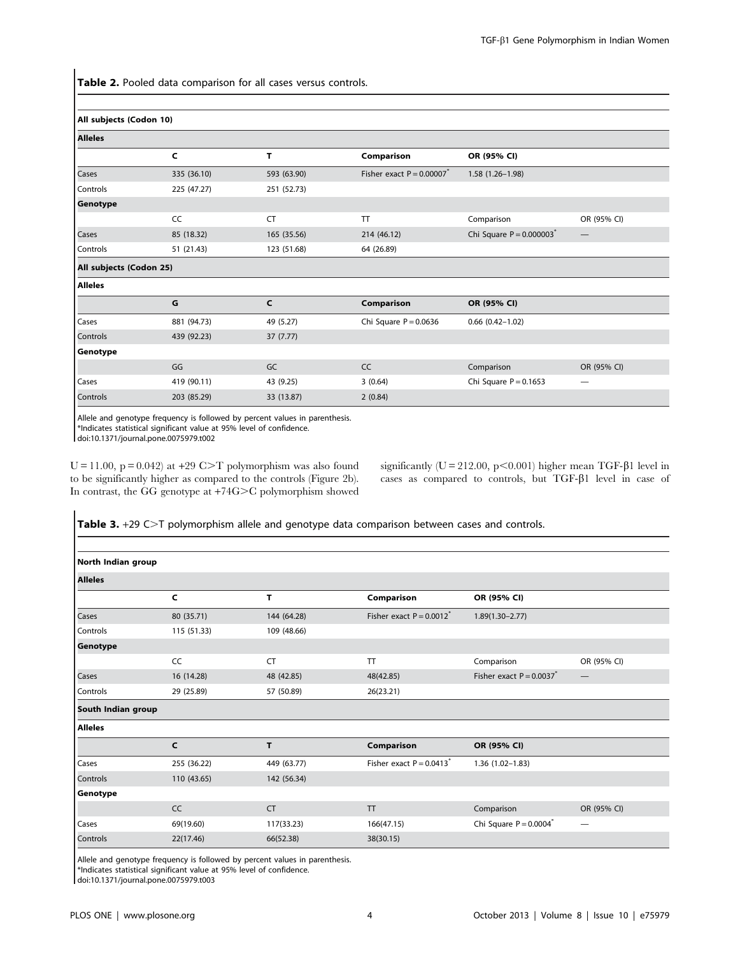Table 2. Pooled data comparison for all cases versus controls.

| All subjects (Codon 10) |             |              |                            |                                        |             |
|-------------------------|-------------|--------------|----------------------------|----------------------------------------|-------------|
| <b>Alleles</b>          |             |              |                            |                                        |             |
|                         | C           | т            | Comparison                 | OR (95% CI)                            |             |
| Cases                   | 335 (36.10) | 593 (63.90)  | Fisher exact $P = 0.00007$ | $1.58(1.26 - 1.98)$                    |             |
| Controls                | 225 (47.27) | 251 (52.73)  |                            |                                        |             |
| Genotype                |             |              |                            |                                        |             |
|                         | CC          | <b>CT</b>    | $\pi$                      | Comparison                             | OR (95% CI) |
| Cases                   | 85 (18.32)  | 165 (35.56)  | 214 (46.12)                | Chi Square $P = 0.000003$ <sup>*</sup> |             |
| Controls                | 51 (21.43)  | 123 (51.68)  | 64 (26.89)                 |                                        |             |
| All subjects (Codon 25) |             |              |                            |                                        |             |
| <b>Alleles</b>          |             |              |                            |                                        |             |
|                         | G           | $\mathsf{C}$ | Comparison                 | OR (95% CI)                            |             |
| Cases                   | 881 (94.73) | 49 (5.27)    | Chi Square $P = 0.0636$    | $0.66$ $(0.42 - 1.02)$                 |             |
| Controls                | 439 (92.23) | 37(7.77)     |                            |                                        |             |
| Genotype                |             |              |                            |                                        |             |
|                         | GG          | GC           | CC                         | Comparison                             | OR (95% CI) |
| Cases                   | 419 (90.11) | 43 (9.25)    | 3(0.64)                    | Chi Square $P = 0.1653$                |             |
| Controls                | 203 (85.29) | 33 (13.87)   | 2(0.84)                    |                                        |             |

Allele and genotype frequency is followed by percent values in parenthesis.

\*Indicates statistical significant value at 95% level of confidence.

doi:10.1371/journal.pone.0075979.t002

 $U = 11.00$ ,  $p = 0.042$ ) at  $+29$  C $\geq$ T polymorphism was also found to be significantly higher as compared to the controls (Figure 2b). In contrast, the GG genotype at +74G>C polymorphism showed significantly ( $U = 212.00$ ,  $p < 0.001$ ) higher mean TGF- $\beta$ 1 level in cases as compared to controls, but TGF- $\beta$ 1 level in case of

Table 3. +29 C>T polymorphism allele and genotype data comparison between cases and controls.

| North Indian group |             |             |                                        |                                        |                                 |
|--------------------|-------------|-------------|----------------------------------------|----------------------------------------|---------------------------------|
| <b>Alleles</b>     |             |             |                                        |                                        |                                 |
|                    | C           | т           | Comparison                             | OR (95% CI)                            |                                 |
| Cases              | 80 (35.71)  | 144 (64.28) | Fisher exact $P = 0.0012^*$            | $1.89(1.30 - 2.77)$                    |                                 |
| Controls           | 115 (51.33) | 109 (48.66) |                                        |                                        |                                 |
| Genotype           |             |             |                                        |                                        |                                 |
|                    | CC          | <b>CT</b>   | TT                                     | Comparison                             | OR (95% CI)                     |
| Cases              | 16 (14.28)  | 48 (42.85)  | 48(42.85)                              | Fisher exact $P = 0.0037$ <sup>*</sup> | $\hspace{0.1mm}-\hspace{0.1mm}$ |
| Controls           | 29 (25.89)  | 57 (50.89)  | 26(23.21)                              |                                        |                                 |
| South Indian group |             |             |                                        |                                        |                                 |
| <b>Alleles</b>     |             |             |                                        |                                        |                                 |
|                    | C           | T           | Comparison                             | OR (95% CI)                            |                                 |
| Cases              | 255 (36.22) | 449 (63.77) | Fisher exact $P = 0.0413$ <sup>*</sup> | $1.36(1.02 - 1.83)$                    |                                 |
| Controls           | 110 (43.65) | 142 (56.34) |                                        |                                        |                                 |
| Genotype           |             |             |                                        |                                        |                                 |
|                    | CC          | <b>CT</b>   | <b>TT</b>                              | Comparison                             | OR (95% CI)                     |
| Cases              | 69(19.60)   | 117(33.23)  | 166(47.15)                             | Chi Square $P = 0.0004^*$              | $\overline{\phantom{0}}$        |
| Controls           | 22(17.46)   | 66(52.38)   | 38(30.15)                              |                                        |                                 |

Allele and genotype frequency is followed by percent values in parenthesis. \*Indicates statistical significant value at 95% level of confidence.

doi:10.1371/journal.pone.0075979.t003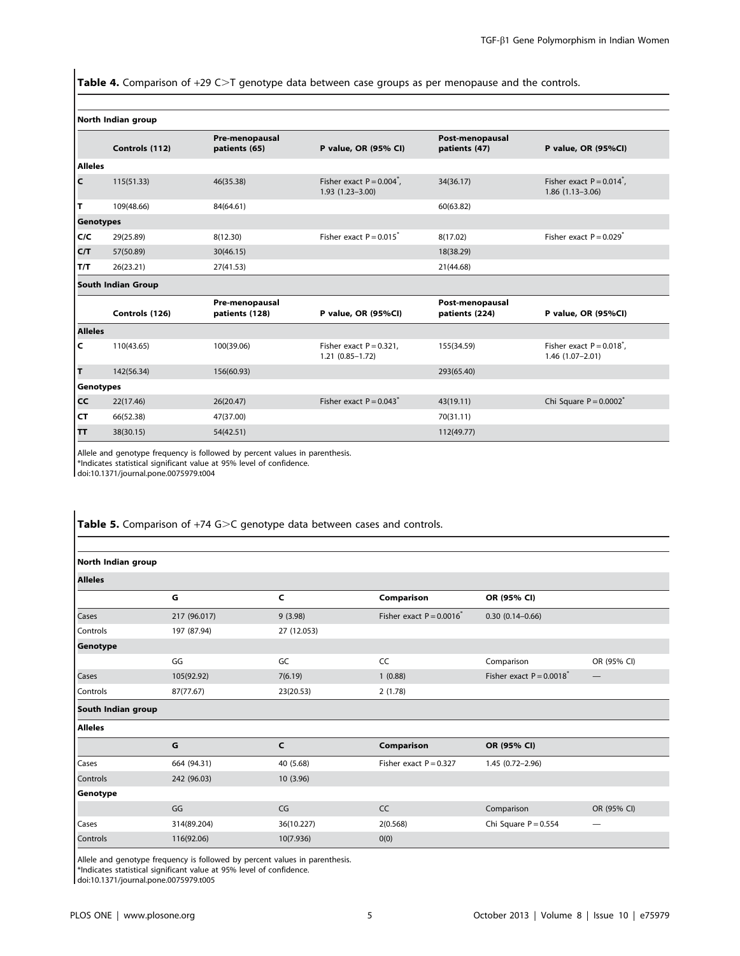Table 4. Comparison of  $+29$  C $>$ T genotype data between case groups as per menopause and the controls.

#### North Indian group

|                  | Controls (112)     | Pre-menopausal<br>patients (65)  | P value, OR (95% CI)                                           | Post-menopausal<br>patients (47)  | P value, OR (95%CI)                                   |  |
|------------------|--------------------|----------------------------------|----------------------------------------------------------------|-----------------------------------|-------------------------------------------------------|--|
| <b>Alleles</b>   |                    |                                  |                                                                |                                   |                                                       |  |
| C                | 115(51.33)         | 46(35.38)                        | Fisher exact $P = 0.004$ <sup>*</sup> ,<br>$1.93(1.23 - 3.00)$ | 34(36.17)                         | Fisher exact $P = 0.014^{n}$ ,<br>$1.86(1.13 - 3.06)$ |  |
| T                | 109(48.66)         | 84(64.61)                        |                                                                | 60(63.82)                         |                                                       |  |
| <b>Genotypes</b> |                    |                                  |                                                                |                                   |                                                       |  |
| C/C              | 29(25.89)          | 8(12.30)                         | Fisher exact $P = 0.015$ <sup>*</sup>                          | 8(17.02)                          | Fisher exact $P = 0.029$                              |  |
| C/T              | 57(50.89)          | 30(46.15)                        |                                                                | 18(38.29)                         |                                                       |  |
| T/T              | 26(23.21)          | 27(41.53)                        |                                                                | 21(44.68)                         |                                                       |  |
|                  | South Indian Group |                                  |                                                                |                                   |                                                       |  |
|                  | Controls (126)     | Pre-menopausal<br>patients (128) | P value, OR (95%CI)                                            | Post-menopausal<br>patients (224) | P value, OR (95%CI)                                   |  |
| <b>Alleles</b>   |                    |                                  |                                                                |                                   |                                                       |  |
| c                | 110(43.65)         | 100(39.06)                       | Fisher exact $P = 0.321$ ,<br>$1.21(0.85 - 1.72)$              | 155(34.59)                        | Fisher exact $P = 0.018^{n}$ .<br>1.46 (1.07-2.01)    |  |
| T                | 142(56.34)         | 156(60.93)                       |                                                                | 293(65.40)                        |                                                       |  |
| Genotypes        |                    |                                  |                                                                |                                   |                                                       |  |
| CC               | 22(17.46)          | 26(20.47)                        | Fisher exact $P = 0.043$ <sup>*</sup>                          | 43(19.11)                         | Chi Square $P = 0.0002$ <sup>*</sup>                  |  |
| CT               | 66(52.38)          | 47(37.00)                        |                                                                | 70(31.11)                         |                                                       |  |
| тт               | 38(30.15)          | 54(42.51)                        |                                                                | 112(49.77)                        |                                                       |  |

Allele and genotype frequency is followed by percent values in parenthesis. \*Indicates statistical significant value at 95% level of confidence.

doi:10.1371/journal.pone.0075979.t004

Table 5. Comparison of  $+74$  G $>$ C genotype data between cases and controls.

| North Indian group |              |              |                             |                             |                                 |
|--------------------|--------------|--------------|-----------------------------|-----------------------------|---------------------------------|
| <b>Alleles</b>     |              |              |                             |                             |                                 |
|                    | G            | C            | Comparison                  | OR (95% CI)                 |                                 |
| Cases              | 217 (96.017) | 9(3.98)      | Fisher exact $P = 0.0016^*$ | $0.30(0.14 - 0.66)$         |                                 |
| Controls           | 197 (87.94)  | 27 (12.053)  |                             |                             |                                 |
| Genotype           |              |              |                             |                             |                                 |
|                    | GG           | GC           | CC                          | Comparison                  | OR (95% CI)                     |
| Cases              | 105(92.92)   | 7(6.19)      | 1(0.88)                     | Fisher exact $P = 0.0018^*$ | $\hspace{0.1mm}-\hspace{0.1mm}$ |
| Controls           | 87(77.67)    | 23(20.53)    | 2(1.78)                     |                             |                                 |
| South Indian group |              |              |                             |                             |                                 |
| <b>Alleles</b>     |              |              |                             |                             |                                 |
|                    | G            | $\mathsf{C}$ | Comparison                  | OR (95% CI)                 |                                 |
| Cases              | 664 (94.31)  | 40 (5.68)    | Fisher exact $P = 0.327$    | 1.45 (0.72-2.96)            |                                 |
| Controls           | 242 (96.03)  | 10(3.96)     |                             |                             |                                 |
| Genotype           |              |              |                             |                             |                                 |
|                    | GG           | CG           | CC                          | Comparison                  | OR (95% CI)                     |
| Cases              | 314(89.204)  | 36(10.227)   | 2(0.568)                    | Chi Square $P = 0.554$      | $\overline{\phantom{0}}$        |
| Controls           | 116(92.06)   | 10(7.936)    | 0(0)                        |                             |                                 |

Allele and genotype frequency is followed by percent values in parenthesis. \*Indicates statistical significant value at 95% level of confidence.

doi:10.1371/journal.pone.0075979.t005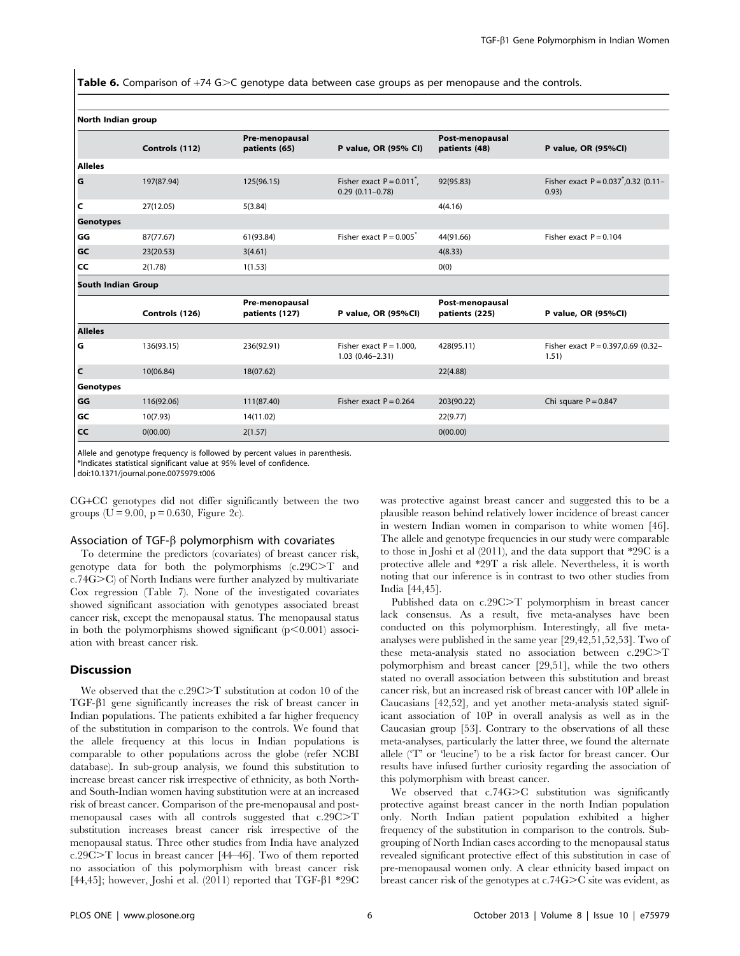**Table 6.** Comparison of  $+74$  G $>C$  genotype data between case groups as per menopause and the controls.

|                           | Controls (112) | Pre-menopausal<br>patients (65)  | P value, OR (95% CI)                                        | Post-menopausal<br>patients (48)  | P value, OR (95%CI)                                |
|---------------------------|----------------|----------------------------------|-------------------------------------------------------------|-----------------------------------|----------------------------------------------------|
| <b>Alleles</b>            |                |                                  |                                                             |                                   |                                                    |
| G                         | 197(87.94)     | 125(96.15)                       | Fisher exact $P = 0.011^{\degree}$ ,<br>$0.29(0.11 - 0.78)$ | 92(95.83)                         | Fisher exact $P = 0.037^{*}, 0.32$ (0.11-<br>0.93) |
| c                         | 27(12.05)      | 5(3.84)                          |                                                             | 4(4.16)                           |                                                    |
| Genotypes                 |                |                                  |                                                             |                                   |                                                    |
| GG                        | 87(77.67)      | 61(93.84)                        | Fisher exact $P = 0.005$ <sup>*</sup>                       | 44(91.66)                         | Fisher exact $P = 0.104$                           |
| GC                        | 23(20.53)      | 3(4.61)                          |                                                             | 4(8.33)                           |                                                    |
| l cc                      | 2(1.78)        | 1(1.53)                          |                                                             | O(0)                              |                                                    |
| <b>South Indian Group</b> |                |                                  |                                                             |                                   |                                                    |
|                           | Controls (126) | Pre-menopausal<br>patients (127) | P value, OR (95%CI)                                         | Post-menopausal<br>patients (225) | P value, OR (95%CI)                                |
| <b>Alleles</b>            |                |                                  |                                                             |                                   |                                                    |
| ۱G                        | 136(93.15)     | 236(92.91)                       | Fisher exact $P = 1.000$ ,<br>$1.03(0.46 - 2.31)$           | 428(95.11)                        | Fisher exact $P = 0.397,0.69$ (0.32-<br>1.51)      |
| l c                       | 10(06.84)      | 18(07.62)                        |                                                             | 22(4.88)                          |                                                    |
| Genotypes                 |                |                                  |                                                             |                                   |                                                    |
| GG                        | 116(92.06)     | 111(87.40)                       | Fisher exact $P = 0.264$                                    | 203(90.22)                        | Chi square $P = 0.847$                             |
| GC                        | 10(7.93)       | 14(11.02)                        |                                                             | 22(9.77)                          |                                                    |
| l cc                      | 0(00.00)       | 2(1.57)                          |                                                             | 0(00.00)                          |                                                    |
|                           |                |                                  |                                                             |                                   |                                                    |

North Indian group

Allele and genotype frequency is followed by percent values in parenthesis.

\*Indicates statistical significant value at 95% level of confidence.

doi:10.1371/journal.pone.0075979.t006

CG+CC genotypes did not differ significantly between the two groups ( $U = 9.00$ ,  $p = 0.630$ , Figure 2c).

#### Association of TGF- $\beta$  polymorphism with covariates

To determine the predictors (covariates) of breast cancer risk, genotype data for both the polymorphisms  $(c.29C>T$  and  $c.74G$ C) of North Indians were further analyzed by multivariate Cox regression (Table 7). None of the investigated covariates showed significant association with genotypes associated breast cancer risk, except the menopausal status. The menopausal status in both the polymorphisms showed significant  $(p<0.001)$  association with breast cancer risk.

### Discussion

We observed that the  $c.29C > T$  substitution at codon 10 of the TGF-b1 gene significantly increases the risk of breast cancer in Indian populations. The patients exhibited a far higher frequency of the substitution in comparison to the controls. We found that the allele frequency at this locus in Indian populations is comparable to other populations across the globe (refer NCBI database). In sub-group analysis, we found this substitution to increase breast cancer risk irrespective of ethnicity, as both Northand South-Indian women having substitution were at an increased risk of breast cancer. Comparison of the pre-menopausal and postmenopausal cases with all controls suggested that  $c.29C > T$ substitution increases breast cancer risk irrespective of the menopausal status. Three other studies from India have analyzed c.29C.T locus in breast cancer [44–46]. Two of them reported no association of this polymorphism with breast cancer risk [44,45]; however, Joshi et al. (2011) reported that TGF- $\beta$ 1 \*29C was protective against breast cancer and suggested this to be a plausible reason behind relatively lower incidence of breast cancer in western Indian women in comparison to white women [46]. The allele and genotype frequencies in our study were comparable to those in Joshi et al (2011), and the data support that \*29C is a protective allele and \*29T a risk allele. Nevertheless, it is worth noting that our inference is in contrast to two other studies from India [44,45].

Published data on c.29C $\geq$ T polymorphism in breast cancer lack consensus. As a result, five meta-analyses have been conducted on this polymorphism. Interestingly, all five metaanalyses were published in the same year [29,42,51,52,53]. Two of these meta-analysis stated no association between c.29C>T polymorphism and breast cancer [29,51], while the two others stated no overall association between this substitution and breast cancer risk, but an increased risk of breast cancer with 10P allele in Caucasians [42,52], and yet another meta-analysis stated significant association of 10P in overall analysis as well as in the Caucasian group [53]. Contrary to the observations of all these meta-analyses, particularly the latter three, we found the alternate allele ('T' or 'leucine') to be a risk factor for breast cancer. Our results have infused further curiosity regarding the association of this polymorphism with breast cancer.

We observed that  $c.74G>C$  substitution was significantly protective against breast cancer in the north Indian population only. North Indian patient population exhibited a higher frequency of the substitution in comparison to the controls. Subgrouping of North Indian cases according to the menopausal status revealed significant protective effect of this substitution in case of pre-menopausal women only. A clear ethnicity based impact on breast cancer risk of the genotypes at  $c.74G>C$  site was evident, as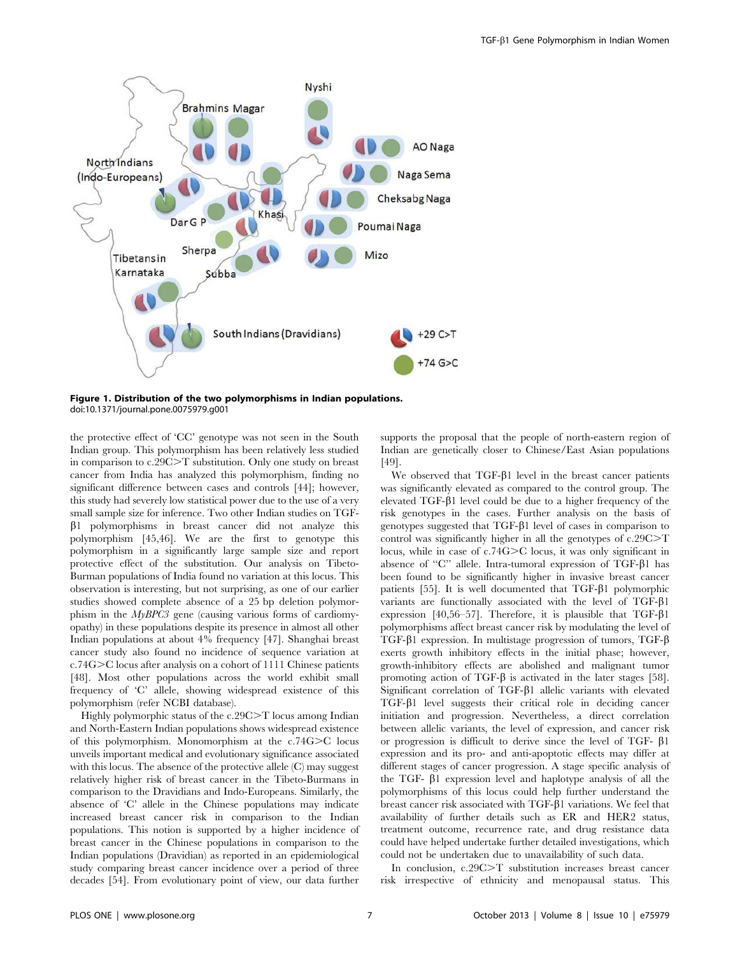

Figure 1. Distribution of the two polymorphisms in Indian populations. doi:10.1371/journal.pone.0075979.g001

the protective effect of 'CC' genotype was not seen in the South Indian group. This polymorphism has been relatively less studied in comparison to  $c.29C>T$  substitution. Only one study on breast cancer from India has analyzed this polymorphism, finding no significant difference between cases and controls [44]; however, this study had severely low statistical power due to the use of a very small sample size for inference. Two other Indian studies on TGF- $\beta$ 1 polymorphisms in breast cancer did not analyze this polymorphism [45,46]. We are the first to genotype this polymorphism in a significantly large sample size and report protective effect of the substitution. Our analysis on Tibeto-Burman populations of India found no variation at this locus. This observation is interesting, but not surprising, as one of our earlier studies showed complete absence of a 25 bp deletion polymorphism in the  $MyBPC3$  gene (causing various forms of cardiomyopathy) in these populations despite its presence in almost all other Indian populations at about 4% frequency [47]. Shanghai breast cancer study also found no incidence of sequence variation at c.74G>C locus after analysis on a cohort of 1111 Chinese patients [48]. Most other populations across the world exhibit small frequency of 'C' allele, showing widespread existence of this polymorphism (refer NCBI database).

Highly polymorphic status of the c.29C>T locus among Indian and North-Eastern Indian populations shows widespread existence of this polymorphism. Monomorphism at the  $c.74G>C$  locus unveils important medical and evolutionary significance associated with this locus. The absence of the protective allele (C) may suggest relatively higher risk of breast cancer in the Tibeto-Burmans in comparison to the Dravidians and Indo-Europeans. Similarly, the absence of 'C' allele in the Chinese populations may indicate increased breast cancer risk in comparison to the Indian populations. This notion is supported by a higher incidence of breast cancer in the Chinese populations in comparison to the Indian populations (Dravidian) as reported in an epidemiological study comparing breast cancer incidence over a period of three decades [54]. From evolutionary point of view, our data further

supports the proposal that the people of north-eastern region of Indian are genetically closer to Chinese/East Asian populations [49].

We observed that  $TGF- $\beta$ 1 level in the breast cancer patients$ was significantly elevated as compared to the control group. The elevated TGF-b1 level could be due to a higher frequency of the risk genotypes in the cases. Further analysis on the basis of genotypes suggested that TGF-b1 level of cases in comparison to control was significantly higher in all the genotypes of  $c.29C > T$ locus, while in case of  $c.74G>C$  locus, it was only significant in absence of "C" allele. Intra-tumoral expression of TGF- $\beta$ 1 has been found to be significantly higher in invasive breast cancer patients [55]. It is well documented that  $TGF- $\beta$ 1 polymorphic$ variants are functionally associated with the level of TGF- $\beta$ 1 expression [40,56–57]. Therefore, it is plausible that  $TGF- $\beta$ 1$ polymorphisms affect breast cancer risk by modulating the level of TGF- $\beta$ 1 expression. In multistage progression of tumors, TGF- $\beta$ exerts growth inhibitory effects in the initial phase; however, growth-inhibitory effects are abolished and malignant tumor promoting action of TGF- $\beta$  is activated in the later stages [58]. Significant correlation of TGF- $\beta$ 1 allelic variants with elevated TGF-b1 level suggests their critical role in deciding cancer initiation and progression. Nevertheless, a direct correlation between allelic variants, the level of expression, and cancer risk or progression is difficult to derive since the level of TGF- $\beta$ 1 expression and its pro- and anti-apoptotic effects may differ at different stages of cancer progression. A stage specific analysis of the TGF- $\beta$ 1 expression level and haplotype analysis of all the polymorphisms of this locus could help further understand the breast cancer risk associated with  $TGF- $\beta$ 1 variations. We feel that$ availability of further details such as ER and HER2 status, treatment outcome, recurrence rate, and drug resistance data could have helped undertake further detailed investigations, which could not be undertaken due to unavailability of such data.

In conclusion, c.29C>T substitution increases breast cancer risk irrespective of ethnicity and menopausal status. This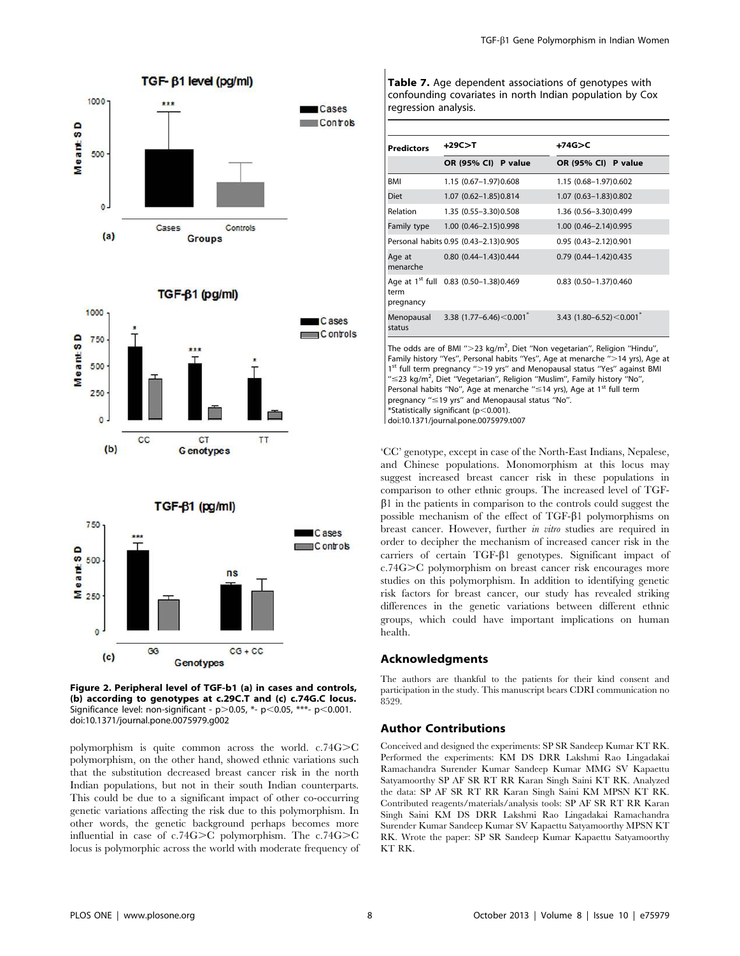

# TGF-61 (pg/ml)

**Groups** 



Figure 2. Peripheral level of TGF-b1 (a) in cases and controls, (b) according to genotypes at c.29C.T and (c) c.74G.C locus. Significance level: non-significant -  $p$  > 0.05, \*-  $p$  < 0.05, \*\*\*-  $p$  < 0.001. doi:10.1371/journal.pone.0075979.g002

Genotypes

 $CG + CC$ 

polymorphism is quite common across the world.  $c.74G > C$ polymorphism, on the other hand, showed ethnic variations such that the substitution decreased breast cancer risk in the north Indian populations, but not in their south Indian counterparts. This could be due to a significant impact of other co-occurring genetic variations affecting the risk due to this polymorphism. In other words, the genetic background perhaps becomes more

influential in case of  $c.74G>C$  polymorphism. The  $c.74G>C$ locus is polymorphic across the world with moderate frequency of

BMI 1.15 (0.67–1.97)0.608 1.15 (0.68–1.97)0.602 Diet 1.07 (0.62–1.85)0.814 1.07 (0.63–1.83)0.802

regression analysis.

| Relation             | 1.35 (0.55-3.30) 0.508                            | 1.36 (0.56-3.30) 0.499                    |
|----------------------|---------------------------------------------------|-------------------------------------------|
| Family type          | 1.00 (0.46-2.15) 0.998                            | 1.00 (0.46-2.14) 0.995                    |
|                      | Personal habits 0.95 (0.43-2.13)0.905             | 0.95 (0.43-2.12) 0.901                    |
| Age at<br>menarche   | $0.80(0.44 - 1.43)0.444$                          | $0.79$ $(0.44 - 1.42)0.435$               |
| term<br>pregnancy    | Age at 1 <sup>st</sup> full 0.83 (0.50-1.38)0.469 | 0.83 (0.50-1.37) 0.460                    |
| Menopausal<br>status | 3.38 $(1.77 - 6.46) < 0.001$ <sup>*</sup>         | 3.43 $(1.80 - 6.52) < 0.001$ <sup>*</sup> |

OR (95% CI) P value OR (95% CI) P value

Table 7. Age dependent associations of genotypes with confounding covariates in north Indian population by Cox

 $Predictors +29C>T$  +74G>C

The odds are of BMI ">23 kg/m<sup>2</sup>, Diet "Non vegetarian", Religion "Hindu", Family history "Yes", Personal habits "Yes", Age at menarche ">14 yrs), Age at 1<sup>st</sup> full term pregnancy ">19 yrs" and Menopausal status "Yes" against BMI " < 23 kg/m<sup>2</sup>, Diet "Vegetarian", Religion "Muslim", Family history "No", Personal habits "No", Age at menarche " ≤14 yrs), Age at 1<sup>st</sup> full term pregnancy " < 19 yrs" and Menopausal status "No".  $*$ Statistically significant (p $<$ 0.001). doi:10.1371/journal.pone.0075979.t007

'CC' genotype, except in case of the North-East Indians, Nepalese, and Chinese populations. Monomorphism at this locus may suggest increased breast cancer risk in these populations in comparison to other ethnic groups. The increased level of TGF- $\beta$ 1 in the patients in comparison to the controls could suggest the possible mechanism of the effect of TGF- $\beta$ 1 polymorphisms on breast cancer. However, further in vitro studies are required in order to decipher the mechanism of increased cancer risk in the carriers of certain  $TGF- $\beta$ 1 genotypes. Significant impact of$ c.74G $\geq$ C polymorphism on breast cancer risk encourages more studies on this polymorphism. In addition to identifying genetic risk factors for breast cancer, our study has revealed striking differences in the genetic variations between different ethnic groups, which could have important implications on human health.

# Acknowledgments

The authors are thankful to the patients for their kind consent and participation in the study. This manuscript bears CDRI communication no 8529.

### Author Contributions

Conceived and designed the experiments: SP SR Sandeep Kumar KT RK. Performed the experiments: KM DS DRR Lakshmi Rao Lingadakai Ramachandra Surender Kumar Sandeep Kumar MMG SV Kapaettu Satyamoorthy SP AF SR RT RR Karan Singh Saini KT RK. Analyzed the data: SP AF SR RT RR Karan Singh Saini KM MPSN KT RK. Contributed reagents/materials/analysis tools: SP AF SR RT RR Karan Singh Saini KM DS DRR Lakshmi Rao Lingadakai Ramachandra Surender Kumar Sandeep Kumar SV Kapaettu Satyamoorthy MPSN KT RK. Wrote the paper: SP SR Sandeep Kumar Kapaettu Satyamoorthy KT RK.

 $\circ$ 

 $(c)$ 

GG